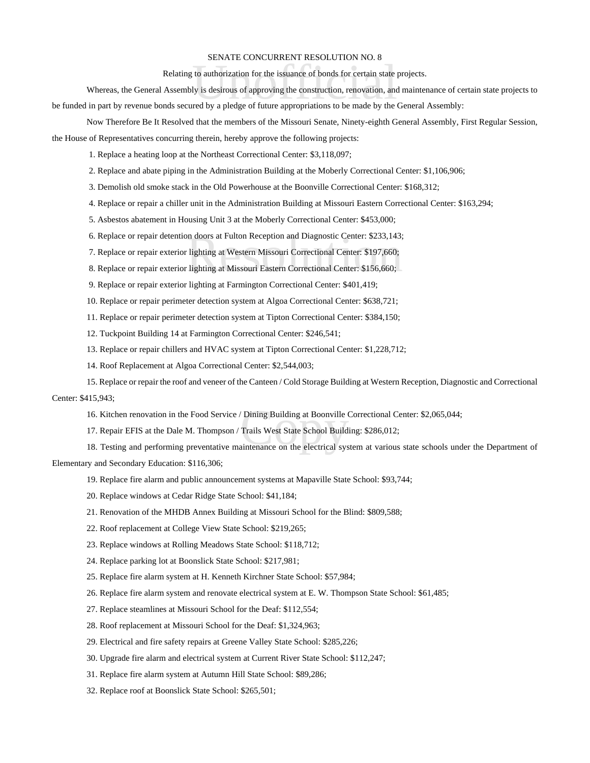## SENATE CONCURRENT RESOLUTION NO. 8

Relating to authorization for the issuance of bonds for certain state projects.

BENATE CONCORNENT RESOLUTION NO. 8<br>to authorization for the issuance of bonds for certain state<br>ly is desirous of approving the construction, renovation, and<br>red by a pledge of future appropriations to be made by the Whereas, the General Assembly is desirous of approving the construction, renovation, and maintenance of certain state projects to be funded in part by revenue bonds secured by a pledge of future appropriations to be made by the General Assembly:

Now Therefore Be It Resolved that the members of the Missouri Senate, Ninety-eighth General Assembly, First Regular Session,

the House of Representatives concurring therein, hereby approve the following projects:

- 1. Replace a heating loop at the Northeast Correctional Center: \$3,118,097;
- 2. Replace and abate piping in the Administration Building at the Moberly Correctional Center: \$1,106,906;
- 3. Demolish old smoke stack in the Old Powerhouse at the Boonville Correctional Center: \$168,312;
- 4. Replace or repair a chiller unit in the Administration Building at Missouri Eastern Correctional Center: \$163,294;
- 5. Asbestos abatement in Housing Unit 3 at the Moberly Correctional Center: \$453,000;
- n doors at Fulton Reception and Diagnostic Center: \$233,143;<br>
lighting at Western Missouri Correctional Center: \$197,660;<br>
lighting at Missouri Eastern Correctional Center: \$156,660; 6. Replace or repair detention doors at Fulton Reception and Diagnostic Center: \$233,143;
- 7. Replace or repair exterior lighting at Western Missouri Correctional Center: \$197,660;
- 8. Replace or repair exterior lighting at Missouri Eastern Correctional Center: \$156,660;
- 9. Replace or repair exterior lighting at Farmington Correctional Center: \$401,419;
- 10. Replace or repair perimeter detection system at Algoa Correctional Center: \$638,721;
- 11. Replace or repair perimeter detection system at Tipton Correctional Center: \$384,150;
- 12. Tuckpoint Building 14 at Farmington Correctional Center: \$246,541;
- 13. Replace or repair chillers and HVAC system at Tipton Correctional Center: \$1,228,712;
- 14. Roof Replacement at Algoa Correctional Center: \$2,544,003;
- 15. Replace or repair the roof and veneer of the Canteen / Cold Storage Building at Western Reception, Diagnostic and Correctional Center: \$415,943;
	-
	- 17. Repair EFIS at the Dale M. Thompson / Trails West State School Building: \$286,012;
- 16. Kitchen renovation in the Food Service / Dining Building at Boonville Correctional Center: \$2,065,044;<br>17. Repair EFIS at the Dale M. Thompson / Trails West State School Building: \$286,012;<br>18. Testing and performing p 18. Testing and performing preventative maintenance on the electrical system at various state schools under the Department of Elementary and Secondary Education: \$116,306;
	- 19. Replace fire alarm and public announcement systems at Mapaville State School: \$93,744;
	- 20. Replace windows at Cedar Ridge State School: \$41,184;
	- 21. Renovation of the MHDB Annex Building at Missouri School for the Blind: \$809,588;
	- 22. Roof replacement at College View State School: \$219,265;
	- 23. Replace windows at Rolling Meadows State School: \$118,712;
	- 24. Replace parking lot at Boonslick State School: \$217,981;
	- 25. Replace fire alarm system at H. Kenneth Kirchner State School: \$57,984;
	- 26. Replace fire alarm system and renovate electrical system at E. W. Thompson State School: \$61,485;
	- 27. Replace steamlines at Missouri School for the Deaf: \$112,554;
	- 28. Roof replacement at Missouri School for the Deaf: \$1,324,963;
	- 29. Electrical and fire safety repairs at Greene Valley State School: \$285,226;
	- 30. Upgrade fire alarm and electrical system at Current River State School: \$112,247;
	- 31. Replace fire alarm system at Autumn Hill State School: \$89,286;
	- 32. Replace roof at Boonslick State School: \$265,501;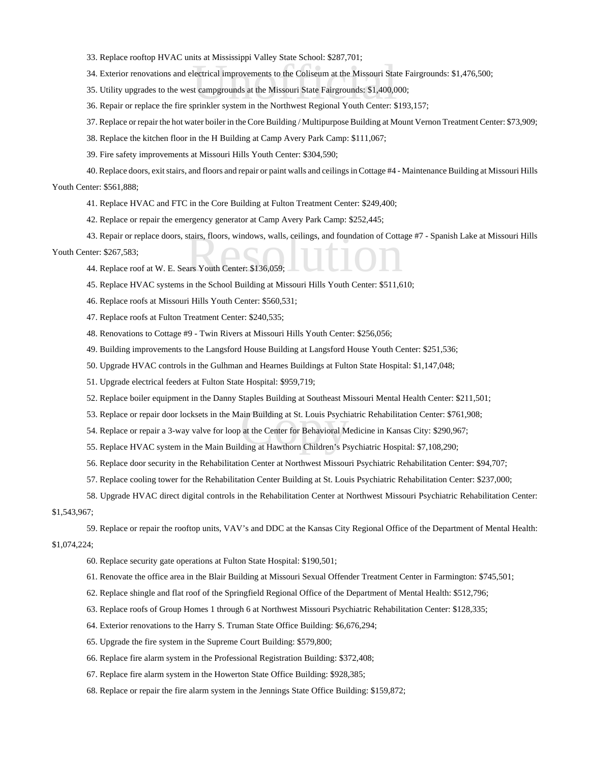- 33. Replace rooftop HVAC units at Mississippi Valley State School: \$287,701;
- Its at Mississippi vancy state senoof. \$207,701,<br>Iectrical improvements to the Coliseum at the Missouri State<br>Its at campgrounds at the Missouri State Fairgrounds: \$1,400,0<br>prinkler system in the Northwest Regional Youth C 34. Exterior renovations and electrical improvements to the Coliseum at the Missouri State Fairgrounds: \$1,476,500;
- 35. Utility upgrades to the west campgrounds at the Missouri State Fairgrounds: \$1,400,000;
- 36. Repair or replace the fire sprinkler system in the Northwest Regional Youth Center: \$193,157;
- 37. Replace or repair the hot water boiler in the Core Building / Multipurpose Building at Mount Vernon Treatment Center: \$73,909;
- 38. Replace the kitchen floor in the H Building at Camp Avery Park Camp: \$111,067;
- 39. Fire safety improvements at Missouri Hills Youth Center: \$304,590;

40. Replace doors, exit stairs, and floors and repair or paint walls and ceilings in Cottage #4 - Maintenance Building at Missouri Hills Youth Center: \$561,888;

- 41. Replace HVAC and FTC in the Core Building at Fulton Treatment Center: \$249,400;
- 42. Replace or repair the emergency generator at Camp Avery Park Camp: \$252,445;
- 43. Repair or replace doors, stairs, floors, windows, walls, ceilings, and foundation of Cottage #7 Spanish Lake at Missouri Hills<br>nter: \$267,583;<br>44. Replace roof at W. E. Sears Youth Center: \$136,059;

## Youth Center: \$267,583;

- 44. Replace roof at W. E. Sears Youth Center: \$136,059;
- 45. Replace HVAC systems in the School Building at Missouri Hills Youth Center: \$511,610;
- 46. Replace roofs at Missouri Hills Youth Center: \$560,531;
- 47. Replace roofs at Fulton Treatment Center: \$240,535;
- 48. Renovations to Cottage #9 Twin Rivers at Missouri Hills Youth Center: \$256,056;
- 49. Building improvements to the Langsford House Building at Langsford House Youth Center: \$251,536;
- 50. Upgrade HVAC controls in the Gulhman and Hearnes Buildings at Fulton State Hospital: \$1,147,048;
- 51. Upgrade electrical feeders at Fulton State Hospital: \$959,719;
- 52. Replace boiler equipment in the Danny Staples Building at Southeast Missouri Mental Health Center: \$211,501;
- 
- 54. Replace or repair a 3-way valve for loop at the Center for Behavioral Medicine in Kansas City: \$290,967;
- 53. Replace or repair door locksets in the Main Building at St. Louis Psychiatric Rehabilitation Center: \$761,908;<br>54. Replace or repair a 3-way valve for loop at the Center for Behavioral Medicine in Kansas City: \$290,967 55. Replace HVAC system in the Main Building at Hawthorn Children's Psychiatric Hospital: \$7,108,290;
- 56. Replace door security in the Rehabilitation Center at Northwest Missouri Psychiatric Rehabilitation Center: \$94,707;
- 57. Replace cooling tower for the Rehabilitation Center Building at St. Louis Psychiatric Rehabilitation Center: \$237,000;
- 58. Upgrade HVAC direct digital controls in the Rehabilitation Center at Northwest Missouri Psychiatric Rehabilitation Center:

# \$1,543,967;

59. Replace or repair the rooftop units, VAV's and DDC at the Kansas City Regional Office of the Department of Mental Health:

#### \$1,074,224;

- 60. Replace security gate operations at Fulton State Hospital: \$190,501;
- 61. Renovate the office area in the Blair Building at Missouri Sexual Offender Treatment Center in Farmington: \$745,501;
- 62. Replace shingle and flat roof of the Springfield Regional Office of the Department of Mental Health: \$512,796;
- 63. Replace roofs of Group Homes 1 through 6 at Northwest Missouri Psychiatric Rehabilitation Center: \$128,335;
- 64. Exterior renovations to the Harry S. Truman State Office Building: \$6,676,294;
- 65. Upgrade the fire system in the Supreme Court Building: \$579,800;
- 66. Replace fire alarm system in the Professional Registration Building: \$372,408;
- 67. Replace fire alarm system in the Howerton State Office Building: \$928,385;
- 68. Replace or repair the fire alarm system in the Jennings State Office Building: \$159,872;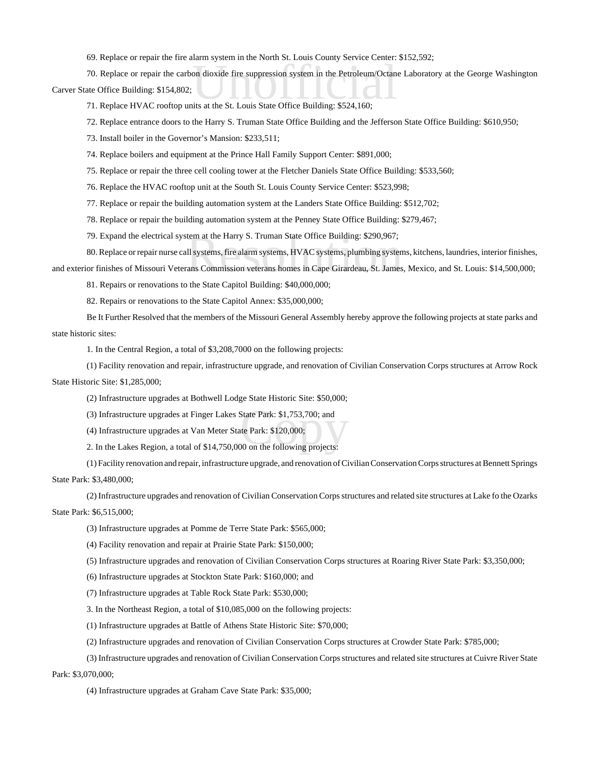69. Replace or repair the fire alarm system in the North St. Louis County Service Center: \$152,592;

on dioxide fire suppression system in the Petroleum/Octan<br>its at the St. Louis State Office Building: \$524.160: 70. Replace or repair the carbon dioxide fire suppression system in the Petroleum/Octane Laboratory at the George Washington Carver State Office Building: \$154,802;

71. Replace HVAC rooftop units at the St. Louis State Office Building: \$524,160;

72. Replace entrance doors to the Harry S. Truman State Office Building and the Jefferson State Office Building: \$610,950;

73. Install boiler in the Governor's Mansion: \$233,511;

74. Replace boilers and equipment at the Prince Hall Family Support Center: \$891,000;

75. Replace or repair the three cell cooling tower at the Fletcher Daniels State Office Building: \$533,560;

76. Replace the HVAC rooftop unit at the South St. Louis County Service Center: \$523,998;

77. Replace or repair the building automation system at the Landers State Office Building: \$512,702;

78. Replace or repair the building automation system at the Penney State Office Building: \$279,467;

79. Expand the electrical system at the Harry S. Truman State Office Building: \$290,967;

tem at the Harry S. Truman State Office Building: \$290,967;<br>Il systems, fire alarm systems, HVAC systems, plumbing system<br>ans Commission veterans homes in Cape Girardeau, St. James 80. Replace or repair nurse call systems, fire alarm systems, HVAC systems, plumbing systems, kitchens, laundries, interior finishes,

and exterior finishes of Missouri Veterans Commission veterans homes in Cape Girardeau, St. James, Mexico, and St. Louis: \$14,500,000;

81. Repairs or renovations to the State Capitol Building: \$40,000,000;

82. Repairs or renovations to the State Capitol Annex: \$35,000,000;

Be It Further Resolved that the members of the Missouri General Assembly hereby approve the following projects at state parks and state historic sites:

1. In the Central Region, a total of \$3,208,7000 on the following projects:

(1) Facility renovation and repair, infrastructure upgrade, and renovation of Civilian Conservation Corps structures at Arrow Rock State Historic Site: \$1,285,000;

(2) Infrastructure upgrades at Bothwell Lodge State Historic Site: \$50,000;

(3) Infrastructure upgrades at Finger Lakes State Park: \$1,753,700; and

(4) Infrastructure upgrades at Van Meter State Park: \$120,000;

(3) Infrastructure upgrades at Finger Lakes State Park: \$1,753,700; and<br>(4) Infrastructure upgrades at Van Meter State Park: \$120,000;<br>2. In the Lakes Region, a total of \$14,750,000 on the following projects:

(1) Facility renovation and repair, infrastructure upgrade, and renovation of Civilian Conservation Corps structures at Bennett Springs

State Park: \$3,480,000;

(2) Infrastructure upgrades and renovation of Civilian Conservation Corps structures and related site structures at Lake fo the Ozarks

State Park: \$6,515,000;

(3) Infrastructure upgrades at Pomme de Terre State Park: \$565,000;

(4) Facility renovation and repair at Prairie State Park: \$150,000;

(5) Infrastructure upgrades and renovation of Civilian Conservation Corps structures at Roaring River State Park: \$3,350,000;

(6) Infrastructure upgrades at Stockton State Park: \$160,000; and

(7) Infrastructure upgrades at Table Rock State Park: \$530,000;

3. In the Northeast Region, a total of \$10,085,000 on the following projects:

(1) Infrastructure upgrades at Battle of Athens State Historic Site: \$70,000;

(2) Infrastructure upgrades and renovation of Civilian Conservation Corps structures at Crowder State Park: \$785,000;

(3) Infrastructure upgrades and renovation of Civilian Conservation Corps structures and related site structures at Cuivre River State Park: \$3,070,000;

(4) Infrastructure upgrades at Graham Cave State Park: \$35,000;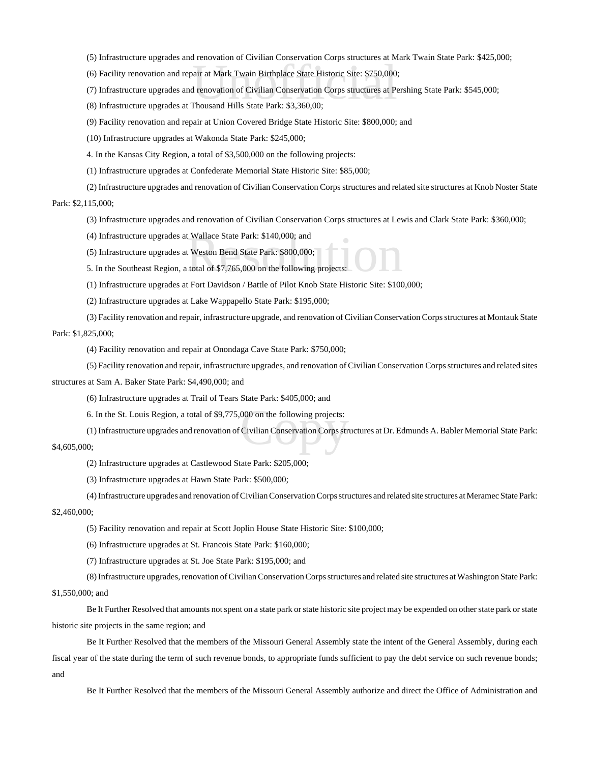(5) Infrastructure upgrades and renovation of Civilian Conservation Corps structures at Mark Twain State Park: \$425,000;

validation of Elyman Conservation Corps structures at Mark Twain Birthplace State Historic Site: \$750,000<br>I renovation of Civilian Conservation Corps structures at Pe<br>Thousand Hills State Park: \$3.360.00: (6) Facility renovation and repair at Mark Twain Birthplace State Historic Site: \$750,000;

(7) Infrastructure upgrades and renovation of Civilian Conservation Corps structures at Pershing State Park: \$545,000;

(8) Infrastructure upgrades at Thousand Hills State Park: \$3,360,00;

(9) Facility renovation and repair at Union Covered Bridge State Historic Site: \$800,000; and

(10) Infrastructure upgrades at Wakonda State Park: \$245,000;

4. In the Kansas City Region, a total of \$3,500,000 on the following projects:

(1) Infrastructure upgrades at Confederate Memorial State Historic Site: \$85,000;

(2) Infrastructure upgrades and renovation of Civilian Conservation Corps structures and related site structures at Knob Noster State

Park: \$2,115,000;

(3) Infrastructure upgrades and renovation of Civilian Conservation Corps structures at Lewis and Clark State Park: \$360,000;

(4) Infrastructure upgrades at Wallace State Park: \$140,000; and

(5) Infrastructure upgrades at Weston Bend State Park: \$800,000;

t Wallace State Park: \$140,000; and<br>t Weston Bend State Park: \$800,000;<br>total of \$7,765,000 on the following projects: 5. In the Southeast Region, a total of \$7,765,000 on the following projects:

(1) Infrastructure upgrades at Fort Davidson / Battle of Pilot Knob State Historic Site: \$100,000;

(2) Infrastructure upgrades at Lake Wappapello State Park: \$195,000;

(3) Facility renovation and repair, infrastructure upgrade, and renovation of Civilian Conservation Corps structures at Montauk State

Park: \$1,825,000;

(4) Facility renovation and repair at Onondaga Cave State Park: \$750,000;

(5) Facility renovation and repair, infrastructure upgrades, and renovation of Civilian Conservation Corps structures and related sites

structures at Sam A. Baker State Park: \$4,490,000; and

(6) Infrastructure upgrades at Trail of Tears State Park: \$405,000; and

6. In the St. Louis Region, a total of \$9,775,000 on the following projects:

000 on the following projects:<br>Civilian Conservation Corps str (1) Infrastructure upgrades and renovation of Civilian Conservation Corps structures at Dr. Edmunds A. Babler Memorial State Park:

### \$4,605,000;

(2) Infrastructure upgrades at Castlewood State Park: \$205,000;

(3) Infrastructure upgrades at Hawn State Park: \$500,000;

(4) Infrastructure upgrades and renovation of Civilian Conservation Corps structures and related site structures at Meramec State Park:

\$2,460,000;

(5) Facility renovation and repair at Scott Joplin House State Historic Site: \$100,000;

(6) Infrastructure upgrades at St. Francois State Park: \$160,000;

(7) Infrastructure upgrades at St. Joe State Park: \$195,000; and

(8) Infrastructure upgrades, renovation of Civilian Conservation Corps structures and related site structures at Washington State Park:

# \$1,550,000; and

Be It Further Resolved that amounts not spent on a state park or state historic site project may be expended on other state park or state historic site projects in the same region; and

Be It Further Resolved that the members of the Missouri General Assembly state the intent of the General Assembly, during each fiscal year of the state during the term of such revenue bonds, to appropriate funds sufficient to pay the debt service on such revenue bonds; and

Be It Further Resolved that the members of the Missouri General Assembly authorize and direct the Office of Administration and